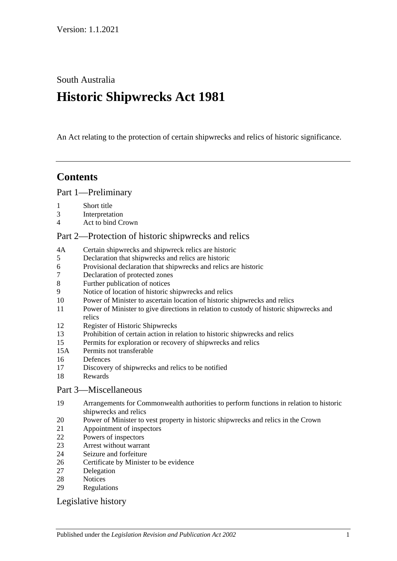South Australia

# **Historic Shipwrecks Act 1981**

An Act relating to the protection of certain shipwrecks and relics of historic significance.

# **Contents**

[Part 1—Preliminary](#page-1-0)

- [Short title](#page-1-1)
- [Interpretation](#page-1-2)
- [Act to bind Crown](#page-2-0)

# [Part 2—Protection of historic shipwrecks and relics](#page-2-1)

- 4A [Certain shipwrecks and shipwreck relics are historic](#page-2-2)
- [Declaration that shipwrecks and relics are historic](#page-3-0)
- [Provisional declaration that shipwrecks and relics are historic](#page-3-1)
- [Declaration of protected zones](#page-4-0)
- [Further publication of notices](#page-4-1)
- [Notice of location of historic shipwrecks and relics](#page-4-2)
- [Power of Minister to ascertain location of historic shipwrecks and relics](#page-5-0)
- [Power of Minister to give directions in relation to custody of historic shipwrecks and](#page-5-1)  [relics](#page-5-1)
- [Register of Historic Shipwrecks](#page-6-0)
- [Prohibition of certain action in relation to historic shipwrecks and relics](#page-6-1)
- [Permits for exploration or recovery of shipwrecks and relics](#page-7-0)
- 15A [Permits not transferable](#page-8-0)
- [Defences](#page-8-1)
- [Discovery of shipwrecks and relics to be notified](#page-9-0)
- [Rewards](#page-9-1)

# [Part 3—Miscellaneous](#page-10-0)

- [Arrangements for Commonwealth authorities to perform functions in relation to historic](#page-10-1)  [shipwrecks and relics](#page-10-1)
- [Power of Minister to vest property in historic shipwrecks and relics in](#page-10-2) the Crown
- [Appointment of inspectors](#page-10-3)
- [Powers of inspectors](#page-10-4)
- [Arrest without warrant](#page-12-0)
- [Seizure and forfeiture](#page-12-1)
- [Certificate by Minister to be evidence](#page-13-0)
- [Delegation](#page-13-1)
- [Notices](#page-14-0)
- [Regulations](#page-14-1)

# [Legislative history](#page-16-0)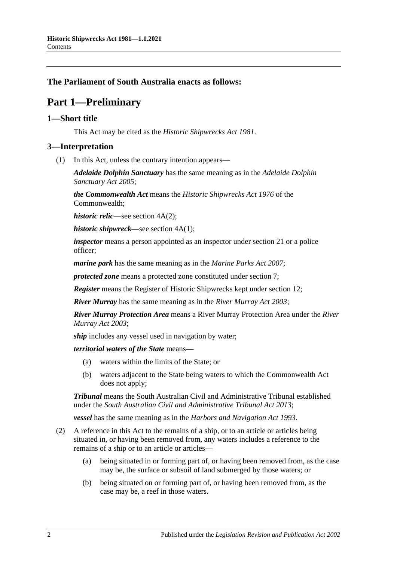# <span id="page-1-0"></span>**The Parliament of South Australia enacts as follows:**

# **Part 1—Preliminary**

#### <span id="page-1-1"></span>**1—Short title**

This Act may be cited as the *Historic Shipwrecks Act 1981*.

#### <span id="page-1-2"></span>**3—Interpretation**

(1) In this Act, unless the contrary intention appears—

*Adelaide Dolphin Sanctuary* has the same meaning as in the *[Adelaide Dolphin](http://www.legislation.sa.gov.au/index.aspx?action=legref&type=act&legtitle=Adelaide%20Dolphin%20Sanctuary%20Act%202005)  [Sanctuary Act](http://www.legislation.sa.gov.au/index.aspx?action=legref&type=act&legtitle=Adelaide%20Dolphin%20Sanctuary%20Act%202005) 2005*;

*the Commonwealth Act* means the *Historic Shipwrecks Act 1976* of the Commonwealth;

*historic relic*—see section 4A(2);

*historic shipwreck*—see section 4A(1);

*inspector* means a person appointed as an inspector under [section](#page-10-3) 21 or a police officer;

*marine park* has the same meaning as in the *[Marine Parks Act](http://www.legislation.sa.gov.au/index.aspx?action=legref&type=act&legtitle=Marine%20Parks%20Act%202007) 2007*;

*protected zone* means a protected zone constituted under [section](#page-4-0) 7;

*Register* means the Register of Historic Shipwrecks kept under [section](#page-6-0) 12;

*River Murray* has the same meaning as in the *[River Murray Act](http://www.legislation.sa.gov.au/index.aspx?action=legref&type=act&legtitle=River%20Murray%20Act%202003) 2003*;

*River Murray Protection Area* means a River Murray Protection Area under the *[River](http://www.legislation.sa.gov.au/index.aspx?action=legref&type=act&legtitle=River%20Murray%20Act%202003)  [Murray Act](http://www.legislation.sa.gov.au/index.aspx?action=legref&type=act&legtitle=River%20Murray%20Act%202003) 2003*;

*ship* includes any vessel used in navigation by water;

*territorial waters of the State* means—

- (a) waters within the limits of the State; or
- (b) waters adjacent to the State being waters to which the Commonwealth Act does not apply;

*Tribunal* means the South Australian Civil and Administrative Tribunal established under the *[South Australian Civil and Administrative Tribunal Act](http://www.legislation.sa.gov.au/index.aspx?action=legref&type=act&legtitle=South%20Australian%20Civil%20and%20Administrative%20Tribunal%20Act%202013) 2013*;

*vessel* has the same meaning as in the *[Harbors and Navigation Act](http://www.legislation.sa.gov.au/index.aspx?action=legref&type=act&legtitle=Harbors%20and%20Navigation%20Act%201993) 1993*.

- (2) A reference in this Act to the remains of a ship, or to an article or articles being situated in, or having been removed from, any waters includes a reference to the remains of a ship or to an article or articles—
	- (a) being situated in or forming part of, or having been removed from, as the case may be, the surface or subsoil of land submerged by those waters; or
	- (b) being situated on or forming part of, or having been removed from, as the case may be, a reef in those waters.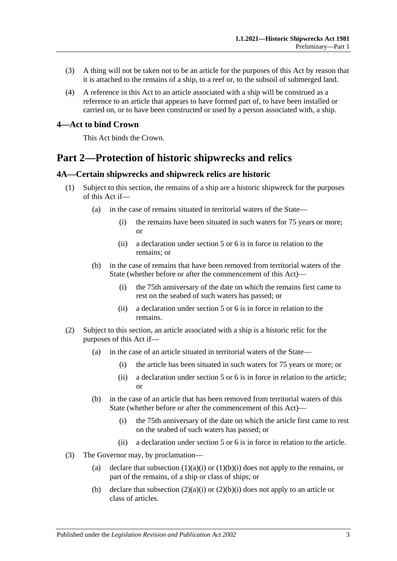- (3) A thing will not be taken not to be an article for the purposes of this Act by reason that it is attached to the remains of a ship, to a reef or, to the subsoil of submerged land.
- (4) A reference in this Act to an article associated with a ship will be construed as a reference to an article that appears to have formed part of, to have been installed or carried on, or to have been constructed or used by a person associated with, a ship.

#### <span id="page-2-0"></span>**4—Act to bind Crown**

This Act binds the Crown.

# <span id="page-2-1"></span>**Part 2—Protection of historic shipwrecks and relics**

#### <span id="page-2-2"></span>**4A—Certain shipwrecks and shipwreck relics are historic**

- <span id="page-2-3"></span>(1) Subject to this section, the remains of a ship are a historic shipwreck for the purposes of this Act if—
	- (a) in the case of remains situated in territorial waters of the State—
		- (i) the remains have been situated in such waters for 75 years or more; or
		- (ii) a declaration under section 5 or 6 is in force in relation to the remains; or
	- (b) in the case of remains that have been removed from territorial waters of the State (whether before or after the commencement of this Act)—
		- (i) the 75th anniversary of the date on which the remains first came to rest on the seabed of such waters has passed; or
		- (ii) a declaration under section 5 or 6 is in force in relation to the remains.
- <span id="page-2-5"></span><span id="page-2-4"></span>(2) Subject to this section, an article associated with a ship is a historic relic for the purposes of this Act if—
	- (a) in the case of an article situated in territorial waters of the State—
		- (i) the article has been situated in such waters for 75 years or more; or
		- (ii) a declaration under section 5 or 6 is in force in relation to the article; or
	- (b) in the case of an article that has been removed from territorial waters of this State (whether before or after the commencement of this Act)—
		- (i) the 75th anniversary of the date on which the article first came to rest on the seabed of such waters has passed; or
		- (ii) a declaration under section 5 or 6 is in force in relation to the article.
- <span id="page-2-6"></span>(3) The Governor may, by proclamation
	- (a) declare that [subsection](#page-2-3)  $(1)(a)(i)$  or  $(1)(b)(i)$  does not apply to the remains, or part of the remains, of a ship or class of ships; or
	- (b) declare that [subsection](#page-2-5)  $(2)(a)(i)$  or  $(2)(b)(i)$  does not apply to an article or class of articles.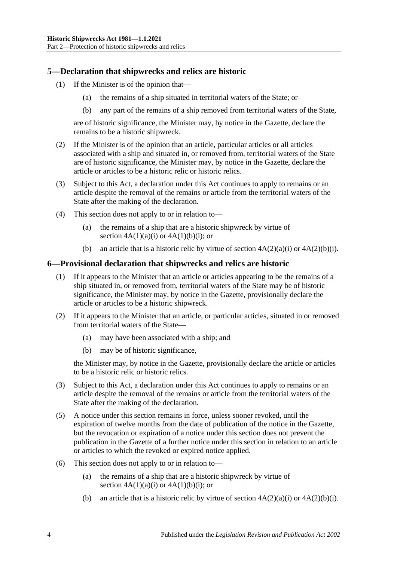# <span id="page-3-0"></span>**5—Declaration that shipwrecks and relics are historic**

- (1) If the Minister is of the opinion that—
	- (a) the remains of a ship situated in territorial waters of the State; or
	- (b) any part of the remains of a ship removed from territorial waters of the State,

are of historic significance, the Minister may, by notice in the Gazette, declare the remains to be a historic shipwreck.

- (2) If the Minister is of the opinion that an article, particular articles or all articles associated with a ship and situated in, or removed from, territorial waters of the State are of historic significance, the Minister may, by notice in the Gazette, declare the article or articles to be a historic relic or historic relics.
- (3) Subject to this Act, a declaration under this Act continues to apply to remains or an article despite the removal of the remains or article from the territorial waters of the State after the making of the declaration.
- (4) This section does not apply to or in relation to—
	- (a) the remains of a ship that are a historic shipwreck by virtue of section  $4A(1)(a)(i)$  or  $4A(1)(b)(i)$ ; or
	- (b) an article that is a historic relic by virtue of section  $4A(2)(a)(i)$  or  $4A(2)(b)(i)$ .

# <span id="page-3-1"></span>**6—Provisional declaration that shipwrecks and relics are historic**

- (1) If it appears to the Minister that an article or articles appearing to be the remains of a ship situated in, or removed from, territorial waters of the State may be of historic significance, the Minister may, by notice in the Gazette, provisionally declare the article or articles to be a historic shipwreck.
- (2) If it appears to the Minister that an article, or particular articles, situated in or removed from territorial waters of the State—
	- (a) may have been associated with a ship; and
	- (b) may be of historic significance,

the Minister may, by notice in the Gazette, provisionally declare the article or articles to be a historic relic or historic relics.

- (3) Subject to this Act, a declaration under this Act continues to apply to remains or an article despite the removal of the remains or article from the territorial waters of the State after the making of the declaration.
- (5) A notice under this section remains in force, unless sooner revoked, until the expiration of twelve months from the date of publication of the notice in the Gazette, but the revocation or expiration of a notice under this section does not prevent the publication in the Gazette of a further notice under this section in relation to an article or articles to which the revoked or expired notice applied.
- (6) This section does not apply to or in relation to—
	- (a) the remains of a ship that are a historic shipwreck by virtue of section  $4A(1)(a)(i)$  or  $4A(1)(b)(i)$ ; or
	- (b) an article that is a historic relic by virtue of section  $4A(2)(a)(i)$  or  $4A(2)(b)(i)$ .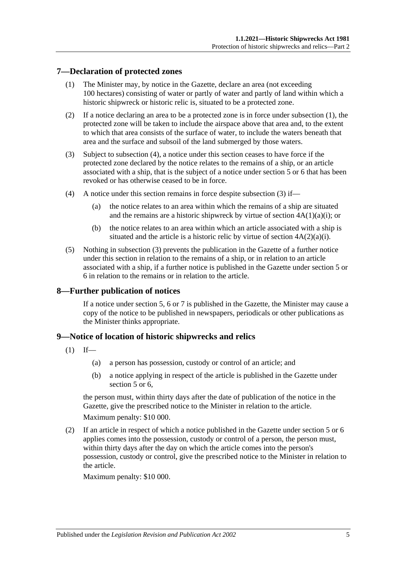# <span id="page-4-3"></span><span id="page-4-0"></span>**7—Declaration of protected zones**

- (1) The Minister may, by notice in the Gazette, declare an area (not exceeding 100 hectares) consisting of water or partly of water and partly of land within which a historic shipwreck or historic relic is, situated to be a protected zone.
- (2) If a notice declaring an area to be a protected zone is in force under [subsection](#page-4-3) (1), the protected zone will be taken to include the airspace above that area and, to the extent to which that area consists of the surface of water, to include the waters beneath that area and the surface and subsoil of the land submerged by those waters.
- <span id="page-4-5"></span>(3) Subject to [subsection](#page-4-4) (4), a notice under this section ceases to have force if the protected zone declared by the notice relates to the remains of a ship, or an article associated with a ship, that is the subject of a notice under [section](#page-3-0) 5 or [6](#page-3-1) that has been revoked or has otherwise ceased to be in force.
- <span id="page-4-4"></span>(4) A notice under this section remains in force despite [subsection](#page-4-5) (3) if—
	- (a) the notice relates to an area within which the remains of a ship are situated and the remains are a historic shipwreck by virtue of section  $4A(1)(a)(i)$ ; or
	- (b) the notice relates to an area within which an article associated with a ship is situated and the article is a historic relic by virtue of section  $4A(2)(a)(i)$ .
- (5) Nothing in [subsection](#page-4-5) (3) prevents the publication in the Gazette of a further notice under this section in relation to the remains of a ship, or in relation to an article associated with a ship, if a further notice is published in the Gazette under [section](#page-3-0) 5 or [6](#page-3-1) in relation to the remains or in relation to the article.

# <span id="page-4-1"></span>**8—Further publication of notices**

If a notice under [section](#page-3-0) 5, [6](#page-3-1) or [7](#page-4-0) is published in the Gazette, the Minister may cause a copy of the notice to be published in newspapers, periodicals or other publications as the Minister thinks appropriate.

# <span id="page-4-6"></span><span id="page-4-2"></span>**9—Notice of location of historic shipwrecks and relics**

- $(1)$  If—
	- (a) a person has possession, custody or control of an article; and
	- (b) a notice applying in respect of the article is published in the Gazette under [section](#page-3-0) 5 or 6.

the person must, within thirty days after the date of publication of the notice in the Gazette, give the prescribed notice to the Minister in relation to the article.

Maximum penalty: \$10 000.

<span id="page-4-7"></span>(2) If an article in respect of which a notice published in the Gazette under [section](#page-3-0) 5 or [6](#page-3-1) applies comes into the possession, custody or control of a person, the person must, within thirty days after the day on which the article comes into the person's possession, custody or control, give the prescribed notice to the Minister in relation to the article.

Maximum penalty: \$10 000.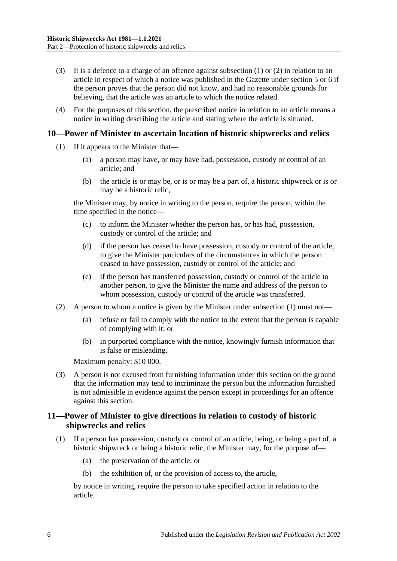- (3) It is a defence to a charge of an offence against [subsection](#page-4-6)  $(1)$  or  $(2)$  in relation to an article in respect of which a notice was published in the Gazette under [section](#page-3-0) 5 or [6](#page-3-1) if the person proves that the person did not know, and had no reasonable grounds for believing, that the article was an article to which the notice related.
- (4) For the purposes of this section, the prescribed notice in relation to an article means a notice in writing describing the article and stating where the article is situated.

#### <span id="page-5-2"></span><span id="page-5-0"></span>**10—Power of Minister to ascertain location of historic shipwrecks and relics**

- (1) If it appears to the Minister that—
	- (a) a person may have, or may have had, possession, custody or control of an article; and
	- (b) the article is or may be, or is or may be a part of, a historic shipwreck or is or may be a historic relic,

the Minister may, by notice in writing to the person, require the person, within the time specified in the notice—

- (c) to inform the Minister whether the person has, or has had, possession, custody or control of the article; and
- (d) if the person has ceased to have possession, custody or control of the article, to give the Minister particulars of the circumstances in which the person ceased to have possession, custody or control of the article; and
- (e) if the person has transferred possession, custody or control of the article to another person, to give the Minister the name and address of the person to whom possession, custody or control of the article was transferred.
- (2) A person to whom a notice is given by the Minister under [subsection](#page-5-2) (1) must not—
	- (a) refuse or fail to comply with the notice to the extent that the person is capable of complying with it; or
	- (b) in purported compliance with the notice, knowingly furnish information that is false or misleading.

Maximum penalty: \$10 000.

(3) A person is not excused from furnishing information under this section on the ground that the information may tend to incriminate the person but the information furnished is not admissible in evidence against the person except in proceedings for an offence against this section.

# <span id="page-5-1"></span>**11—Power of Minister to give directions in relation to custody of historic shipwrecks and relics**

- <span id="page-5-3"></span>(1) If a person has possession, custody or control of an article, being, or being a part of, a historic shipwreck or being a historic relic, the Minister may, for the purpose of—
	- (a) the preservation of the article; or
	- (b) the exhibition of, or the provision of access to, the article,

by notice in writing, require the person to take specified action in relation to the article.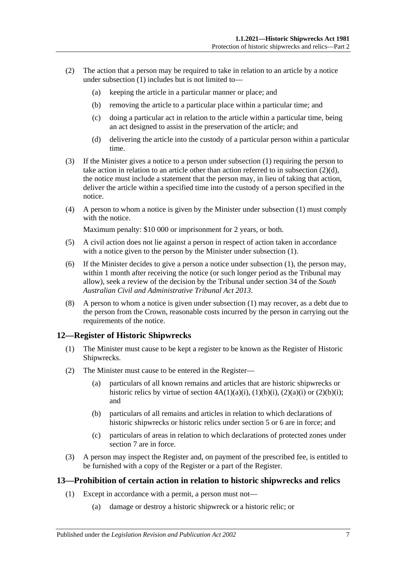- (2) The action that a person may be required to take in relation to an article by a notice under [subsection](#page-5-3)  $(1)$  includes but is not limited to—
	- (a) keeping the article in a particular manner or place; and
	- (b) removing the article to a particular place within a particular time; and
	- (c) doing a particular act in relation to the article within a particular time, being an act designed to assist in the preservation of the article; and
	- (d) delivering the article into the custody of a particular person within a particular time.
- <span id="page-6-2"></span>(3) If the Minister gives a notice to a person under [subsection](#page-5-3) (1) requiring the person to take action in relation to an article other than action referred to in [subsection](#page-6-2)  $(2)(d)$ , the notice must include a statement that the person may, in lieu of taking that action, deliver the article within a specified time into the custody of a person specified in the notice.
- (4) A person to whom a notice is given by the Minister under [subsection](#page-5-3) (1) must comply with the notice.

Maximum penalty: \$10 000 or imprisonment for 2 years, or both.

- (5) A civil action does not lie against a person in respect of action taken in accordance with a notice given to the person by the Minister under [subsection](#page-5-3) (1).
- (6) If the Minister decides to give a person a notice under [subsection](#page-5-3) (1), the person may, within 1 month after receiving the notice (or such longer period as the Tribunal may allow), seek a review of the decision by the Tribunal under section 34 of the *[South](http://www.legislation.sa.gov.au/index.aspx?action=legref&type=act&legtitle=South%20Australian%20Civil%20and%20Administrative%20Tribunal%20Act%202013)  [Australian Civil and Administrative Tribunal Act](http://www.legislation.sa.gov.au/index.aspx?action=legref&type=act&legtitle=South%20Australian%20Civil%20and%20Administrative%20Tribunal%20Act%202013) 2013*.
- (8) A person to whom a notice is given under [subsection](#page-5-3) (1) may recover, as a debt due to the person from the Crown, reasonable costs incurred by the person in carrying out the requirements of the notice.

# <span id="page-6-0"></span>**12—Register of Historic Shipwrecks**

- (1) The Minister must cause to be kept a register to be known as the Register of Historic Shipwrecks.
- (2) The Minister must cause to be entered in the Register—
	- (a) particulars of all known remains and articles that are historic shipwrecks or historic relics by virtue of section  $4A(1)(a)(i)$ ,  $(1)(b)(i)$ ,  $(2)(a)(i)$  or  $(2)(b)(i)$ ; and
	- (b) particulars of all remains and articles in relation to which declarations of historic shipwrecks or historic relics under [section](#page-3-0) 5 or [6](#page-3-1) are in force; and
	- (c) particulars of areas in relation to which declarations of protected zones under [section](#page-4-0) 7 are in force.
- (3) A person may inspect the Register and, on payment of the prescribed fee, is entitled to be furnished with a copy of the Register or a part of the Register.

# <span id="page-6-3"></span><span id="page-6-1"></span>**13—Prohibition of certain action in relation to historic shipwrecks and relics**

- (1) Except in accordance with a permit, a person must not—
	- (a) damage or destroy a historic shipwreck or a historic relic; or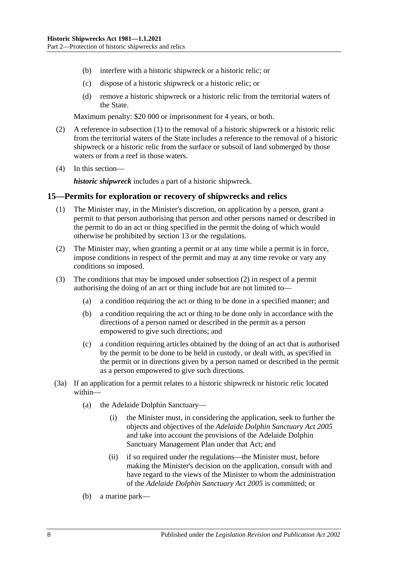- (b) interfere with a historic shipwreck or a historic relic; or
- (c) dispose of a historic shipwreck or a historic relic; or
- (d) remove a historic shipwreck or a historic relic from the territorial waters of the State.

Maximum penalty: \$20 000 or imprisonment for 4 years, or both.

- (2) A reference in [subsection](#page-6-3) (1) to the removal of a historic shipwreck or a historic relic from the territorial waters of the State includes a reference to the removal of a historic shipwreck or a historic relic from the surface or subsoil of land submerged by those waters or from a reef in those waters.
- (4) In this section—

*historic shipwreck* includes a part of a historic shipwreck.

#### <span id="page-7-0"></span>**15—Permits for exploration or recovery of shipwrecks and relics**

- (1) The Minister may, in the Minister's discretion, on application by a person, grant a permit to that person authorising that person and other persons named or described in the permit to do an act or thing specified in the permit the doing of which would otherwise be prohibited by [section](#page-6-1) 13 or the regulations.
- <span id="page-7-1"></span>(2) The Minister may, when granting a permit or at any time while a permit is in force, impose conditions in respect of the permit and may at any time revoke or vary any conditions so imposed.
- (3) The conditions that may be imposed under [subsection](#page-7-1) (2) in respect of a permit authorising the doing of an act or thing include but are not limited to—
	- (a) a condition requiring the act or thing to be done in a specified manner; and
	- (b) a condition requiring the act or thing to be done only in accordance with the directions of a person named or described in the permit as a person empowered to give such directions; and
	- (c) a condition requiring articles obtained by the doing of an act that is authorised by the permit to be done to be held in custody, or dealt with, as specified in the permit or in directions given by a person named or described in the permit as a person empowered to give such directions.
- (3a) If an application for a permit relates to a historic shipwreck or historic relic located within—
	- (a) the Adelaide Dolphin Sanctuary—
		- (i) the Minister must, in considering the application, seek to further the objects and objectives of the *[Adelaide Dolphin Sanctuary Act](http://www.legislation.sa.gov.au/index.aspx?action=legref&type=act&legtitle=Adelaide%20Dolphin%20Sanctuary%20Act%202005) 2005* and take into account the provisions of the Adelaide Dolphin Sanctuary Management Plan under that Act; and
		- (ii) if so required under the regulations—the Minister must, before making the Minister's decision on the application, consult with and have regard to the views of the Minister to whom the administration of the *[Adelaide Dolphin Sanctuary Act](http://www.legislation.sa.gov.au/index.aspx?action=legref&type=act&legtitle=Adelaide%20Dolphin%20Sanctuary%20Act%202005) 2005* is committed; or
	- (b) a marine park—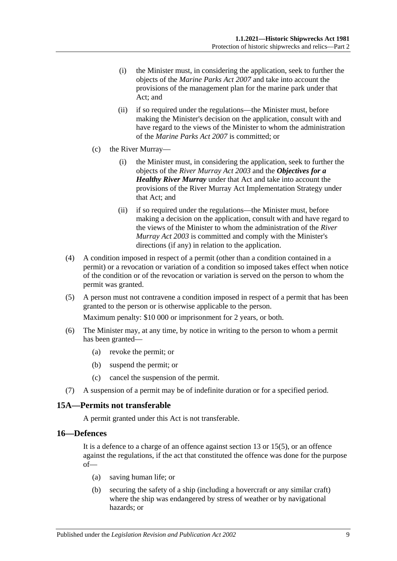- (i) the Minister must, in considering the application, seek to further the objects of the *[Marine Parks Act](http://www.legislation.sa.gov.au/index.aspx?action=legref&type=act&legtitle=Marine%20Parks%20Act%202007) 2007* and take into account the provisions of the management plan for the marine park under that Act; and
- (ii) if so required under the regulations—the Minister must, before making the Minister's decision on the application, consult with and have regard to the views of the Minister to whom the administration of the *[Marine Parks Act](http://www.legislation.sa.gov.au/index.aspx?action=legref&type=act&legtitle=Marine%20Parks%20Act%202007) 2007* is committed; or
- (c) the River Murray—
	- (i) the Minister must, in considering the application, seek to further the objects of the *[River Murray Act](http://www.legislation.sa.gov.au/index.aspx?action=legref&type=act&legtitle=River%20Murray%20Act%202003) 2003* and the *Objectives for a Healthy River Murray* under that Act and take into account the provisions of the River Murray Act Implementation Strategy under that Act; and
	- (ii) if so required under the regulations—the Minister must, before making a decision on the application, consult with and have regard to the views of the Minister to whom the administration of the *[River](http://www.legislation.sa.gov.au/index.aspx?action=legref&type=act&legtitle=River%20Murray%20Act%202003)  [Murray Act](http://www.legislation.sa.gov.au/index.aspx?action=legref&type=act&legtitle=River%20Murray%20Act%202003) 2003* is committed and comply with the Minister's directions (if any) in relation to the application.
- (4) A condition imposed in respect of a permit (other than a condition contained in a permit) or a revocation or variation of a condition so imposed takes effect when notice of the condition or of the revocation or variation is served on the person to whom the permit was granted.
- (5) A person must not contravene a condition imposed in respect of a permit that has been granted to the person or is otherwise applicable to the person.

Maximum penalty: \$10 000 or imprisonment for 2 years, or both.

- (6) The Minister may, at any time, by notice in writing to the person to whom a permit has been granted—
	- (a) revoke the permit; or
	- (b) suspend the permit; or
	- (c) cancel the suspension of the permit.
- (7) A suspension of a permit may be of indefinite duration or for a specified period.

# <span id="page-8-0"></span>**15A—Permits not transferable**

A permit granted under this Act is not transferable.

#### <span id="page-8-1"></span>**16—Defences**

It is a defence to a charge of an offence against section 13 or 15(5), or an offence against the regulations, if the act that constituted the offence was done for the purpose of—

- (a) saving human life; or
- (b) securing the safety of a ship (including a hovercraft or any similar craft) where the ship was endangered by stress of weather or by navigational hazards; or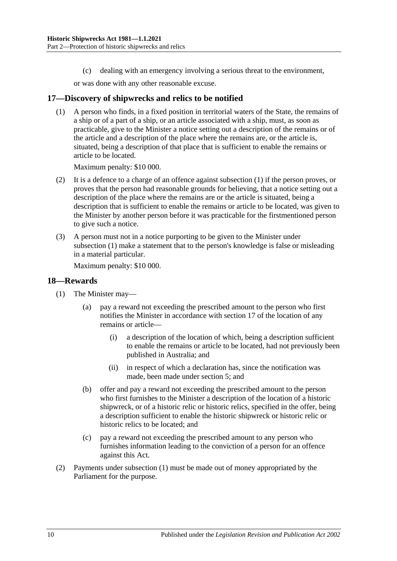(c) dealing with an emergency involving a serious threat to the environment,

or was done with any other reasonable excuse.

### <span id="page-9-2"></span><span id="page-9-0"></span>**17—Discovery of shipwrecks and relics to be notified**

(1) A person who finds, in a fixed position in territorial waters of the State, the remains of a ship or of a part of a ship, or an article associated with a ship, must, as soon as practicable, give to the Minister a notice setting out a description of the remains or of the article and a description of the place where the remains are, or the article is, situated, being a description of that place that is sufficient to enable the remains or article to be located.

Maximum penalty: \$10 000.

- (2) It is a defence to a charge of an offence against [subsection](#page-9-2) (1) if the person proves, or proves that the person had reasonable grounds for believing, that a notice setting out a description of the place where the remains are or the article is situated, being a description that is sufficient to enable the remains or article to be located, was given to the Minister by another person before it was practicable for the firstmentioned person to give such a notice.
- (3) A person must not in a notice purporting to be given to the Minister under [subsection](#page-9-2) (1) make a statement that to the person's knowledge is false or misleading in a material particular.

Maximum penalty: \$10 000.

#### <span id="page-9-3"></span><span id="page-9-1"></span>**18—Rewards**

- (1) The Minister may—
	- (a) pay a reward not exceeding the prescribed amount to the person who first notifies the Minister in accordance with [section](#page-9-0) 17 of the location of any remains or article—
		- (i) a description of the location of which, being a description sufficient to enable the remains or article to be located, had not previously been published in Australia; and
		- (ii) in respect of which a declaration has, since the notification was made, been made under [section](#page-3-0) 5; and
	- (b) offer and pay a reward not exceeding the prescribed amount to the person who first furnishes to the Minister a description of the location of a historic shipwreck, or of a historic relic or historic relics, specified in the offer, being a description sufficient to enable the historic shipwreck or historic relic or historic relics to be located; and
	- (c) pay a reward not exceeding the prescribed amount to any person who furnishes information leading to the conviction of a person for an offence against this Act.
- (2) Payments under [subsection](#page-9-3) (1) must be made out of money appropriated by the Parliament for the purpose.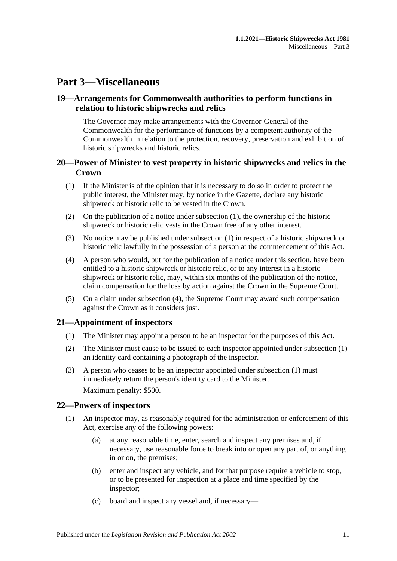# <span id="page-10-0"></span>**Part 3—Miscellaneous**

# <span id="page-10-1"></span>**19—Arrangements for Commonwealth authorities to perform functions in relation to historic shipwrecks and relics**

The Governor may make arrangements with the Governor-General of the Commonwealth for the performance of functions by a competent authority of the Commonwealth in relation to the protection, recovery, preservation and exhibition of historic shipwrecks and historic relics.

# <span id="page-10-2"></span>**20—Power of Minister to vest property in historic shipwrecks and relics in the Crown**

- <span id="page-10-5"></span>(1) If the Minister is of the opinion that it is necessary to do so in order to protect the public interest, the Minister may, by notice in the Gazette, declare any historic shipwreck or historic relic to be vested in the Crown.
- (2) On the publication of a notice under [subsection](#page-10-5) (1), the ownership of the historic shipwreck or historic relic vests in the Crown free of any other interest.
- (3) No notice may be published under [subsection](#page-10-5) (1) in respect of a historic shipwreck or historic relic lawfully in the possession of a person at the commencement of this Act.
- <span id="page-10-6"></span>(4) A person who would, but for the publication of a notice under this section, have been entitled to a historic shipwreck or historic relic, or to any interest in a historic shipwreck or historic relic, may, within six months of the publication of the notice, claim compensation for the loss by action against the Crown in the Supreme Court.
- (5) On a claim under [subsection](#page-10-6) (4), the Supreme Court may award such compensation against the Crown as it considers just.

# <span id="page-10-7"></span><span id="page-10-3"></span>**21—Appointment of inspectors**

- (1) The Minister may appoint a person to be an inspector for the purposes of this Act.
- (2) The Minister must cause to be issued to each inspector appointed under [subsection](#page-10-7) (1) an identity card containing a photograph of the inspector.
- (3) A person who ceases to be an inspector appointed under [subsection](#page-10-7) (1) must immediately return the person's identity card to the Minister. Maximum penalty: \$500.

# <span id="page-10-4"></span>**22—Powers of inspectors**

- <span id="page-10-8"></span>(1) An inspector may, as reasonably required for the administration or enforcement of this Act, exercise any of the following powers:
	- (a) at any reasonable time, enter, search and inspect any premises and, if necessary, use reasonable force to break into or open any part of, or anything in or on, the premises;
	- (b) enter and inspect any vehicle, and for that purpose require a vehicle to stop, or to be presented for inspection at a place and time specified by the inspector;
	- (c) board and inspect any vessel and, if necessary—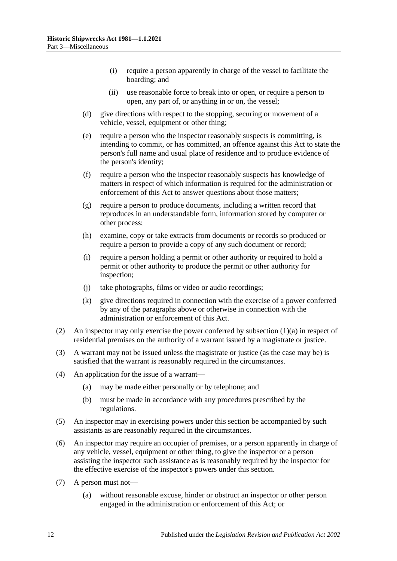- (i) require a person apparently in charge of the vessel to facilitate the boarding; and
- (ii) use reasonable force to break into or open, or require a person to open, any part of, or anything in or on, the vessel;
- (d) give directions with respect to the stopping, securing or movement of a vehicle, vessel, equipment or other thing;
- (e) require a person who the inspector reasonably suspects is committing, is intending to commit, or has committed, an offence against this Act to state the person's full name and usual place of residence and to produce evidence of the person's identity;
- (f) require a person who the inspector reasonably suspects has knowledge of matters in respect of which information is required for the administration or enforcement of this Act to answer questions about those matters;
- (g) require a person to produce documents, including a written record that reproduces in an understandable form, information stored by computer or other process;
- (h) examine, copy or take extracts from documents or records so produced or require a person to provide a copy of any such document or record;
- (i) require a person holding a permit or other authority or required to hold a permit or other authority to produce the permit or other authority for inspection;
- (j) take photographs, films or video or audio recordings;
- (k) give directions required in connection with the exercise of a power conferred by any of the paragraphs above or otherwise in connection with the administration or enforcement of this Act.
- (2) An inspector may only exercise the power conferred by [subsection](#page-10-8) (1)(a) in respect of residential premises on the authority of a warrant issued by a magistrate or justice.
- (3) A warrant may not be issued unless the magistrate or justice (as the case may be) is satisfied that the warrant is reasonably required in the circumstances.
- (4) An application for the issue of a warrant—
	- (a) may be made either personally or by telephone; and
	- (b) must be made in accordance with any procedures prescribed by the regulations.
- (5) An inspector may in exercising powers under this section be accompanied by such assistants as are reasonably required in the circumstances.
- (6) An inspector may require an occupier of premises, or a person apparently in charge of any vehicle, vessel, equipment or other thing, to give the inspector or a person assisting the inspector such assistance as is reasonably required by the inspector for the effective exercise of the inspector's powers under this section.
- (7) A person must not—
	- (a) without reasonable excuse, hinder or obstruct an inspector or other person engaged in the administration or enforcement of this Act; or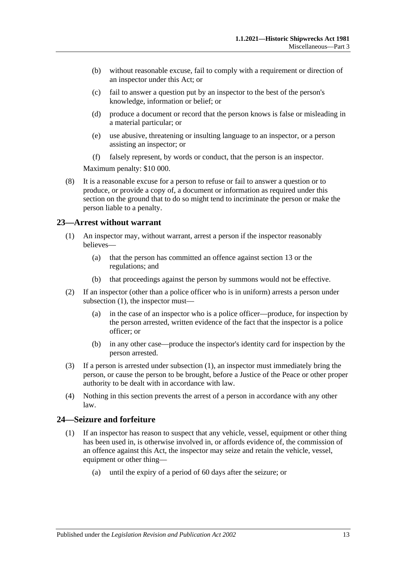- (b) without reasonable excuse, fail to comply with a requirement or direction of an inspector under this Act; or
- (c) fail to answer a question put by an inspector to the best of the person's knowledge, information or belief; or
- (d) produce a document or record that the person knows is false or misleading in a material particular; or
- (e) use abusive, threatening or insulting language to an inspector, or a person assisting an inspector; or
- (f) falsely represent, by words or conduct, that the person is an inspector.

Maximum penalty: \$10 000.

(8) It is a reasonable excuse for a person to refuse or fail to answer a question or to produce, or provide a copy of, a document or information as required under this section on the ground that to do so might tend to incriminate the person or make the person liable to a penalty.

#### <span id="page-12-2"></span><span id="page-12-0"></span>**23—Arrest without warrant**

- (1) An inspector may, without warrant, arrest a person if the inspector reasonably believes—
	- (a) that the person has committed an offence against [section](#page-6-1) 13 or the regulations; and
	- (b) that proceedings against the person by summons would not be effective.
- (2) If an inspector (other than a police officer who is in uniform) arrests a person under [subsection](#page-12-2) (1), the inspector must—
	- (a) in the case of an inspector who is a police officer—produce, for inspection by the person arrested, written evidence of the fact that the inspector is a police officer; or
	- (b) in any other case—produce the inspector's identity card for inspection by the person arrested.
- (3) If a person is arrested under [subsection](#page-12-2) (1), an inspector must immediately bring the person, or cause the person to be brought, before a Justice of the Peace or other proper authority to be dealt with in accordance with law.
- (4) Nothing in this section prevents the arrest of a person in accordance with any other law.

# <span id="page-12-1"></span>**24—Seizure and forfeiture**

- (1) If an inspector has reason to suspect that any vehicle, vessel, equipment or other thing has been used in, is otherwise involved in, or affords evidence of, the commission of an offence against this Act, the inspector may seize and retain the vehicle, vessel, equipment or other thing—
	- (a) until the expiry of a period of 60 days after the seizure; or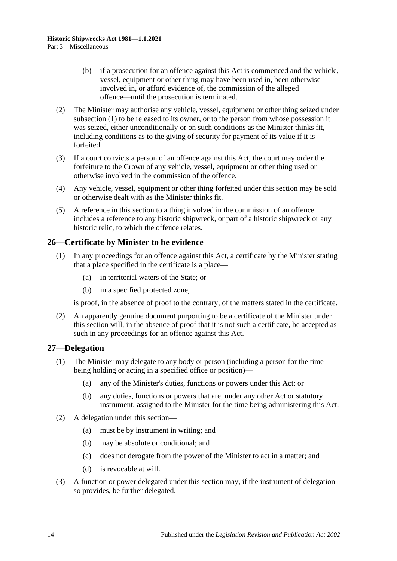- (b) if a prosecution for an offence against this Act is commenced and the vehicle, vessel, equipment or other thing may have been used in, been otherwise involved in, or afford evidence of, the commission of the alleged offence—until the prosecution is terminated.
- (2) The Minister may authorise any vehicle, vessel, equipment or other thing seized under subsection (1) to be released to its owner, or to the person from whose possession it was seized, either unconditionally or on such conditions as the Minister thinks fit, including conditions as to the giving of security for payment of its value if it is forfeited.
- (3) If a court convicts a person of an offence against this Act, the court may order the forfeiture to the Crown of any vehicle, vessel, equipment or other thing used or otherwise involved in the commission of the offence.
- (4) Any vehicle, vessel, equipment or other thing forfeited under this section may be sold or otherwise dealt with as the Minister thinks fit.
- (5) A reference in this section to a thing involved in the commission of an offence includes a reference to any historic shipwreck, or part of a historic shipwreck or any historic relic, to which the offence relates.

# <span id="page-13-0"></span>**26—Certificate by Minister to be evidence**

- (1) In any proceedings for an offence against this Act, a certificate by the Minister stating that a place specified in the certificate is a place—
	- (a) in territorial waters of the State; or
	- (b) in a specified protected zone,

is proof, in the absence of proof to the contrary, of the matters stated in the certificate.

(2) An apparently genuine document purporting to be a certificate of the Minister under this section will, in the absence of proof that it is not such a certificate, be accepted as such in any proceedings for an offence against this Act.

# <span id="page-13-1"></span>**27—Delegation**

- (1) The Minister may delegate to any body or person (including a person for the time being holding or acting in a specified office or position)—
	- (a) any of the Minister's duties, functions or powers under this Act; or
	- (b) any duties, functions or powers that are, under any other Act or statutory instrument, assigned to the Minister for the time being administering this Act.
- (2) A delegation under this section—
	- (a) must be by instrument in writing; and
	- (b) may be absolute or conditional; and
	- (c) does not derogate from the power of the Minister to act in a matter; and
	- (d) is revocable at will.
- (3) A function or power delegated under this section may, if the instrument of delegation so provides, be further delegated.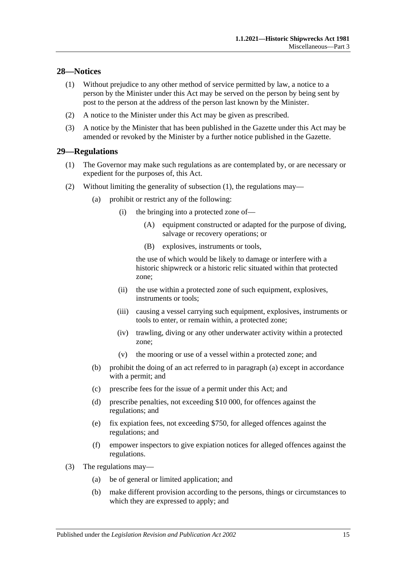# <span id="page-14-0"></span>**28—Notices**

- (1) Without prejudice to any other method of service permitted by law, a notice to a person by the Minister under this Act may be served on the person by being sent by post to the person at the address of the person last known by the Minister.
- (2) A notice to the Minister under this Act may be given as prescribed.
- (3) A notice by the Minister that has been published in the Gazette under this Act may be amended or revoked by the Minister by a further notice published in the Gazette.

# <span id="page-14-2"></span><span id="page-14-1"></span>**29—Regulations**

- (1) The Governor may make such regulations as are contemplated by, or are necessary or expedient for the purposes of, this Act.
- <span id="page-14-3"></span>(2) Without limiting the generality of [subsection](#page-14-2) (1), the regulations may—
	- (a) prohibit or restrict any of the following:
		- (i) the bringing into a protected zone of—
			- (A) equipment constructed or adapted for the purpose of diving, salvage or recovery operations; or
			- (B) explosives, instruments or tools,

the use of which would be likely to damage or interfere with a historic shipwreck or a historic relic situated within that protected zone;

- (ii) the use within a protected zone of such equipment, explosives, instruments or tools;
- (iii) causing a vessel carrying such equipment, explosives, instruments or tools to enter, or remain within, a protected zone;
- (iv) trawling, diving or any other underwater activity within a protected zone;
- (v) the mooring or use of a vessel within a protected zone; and
- (b) prohibit the doing of an act referred to in [paragraph](#page-14-3) (a) except in accordance with a permit; and
- (c) prescribe fees for the issue of a permit under this Act; and
- (d) prescribe penalties, not exceeding \$10 000, for offences against the regulations; and
- (e) fix expiation fees, not exceeding \$750, for alleged offences against the regulations; and
- (f) empower inspectors to give expiation notices for alleged offences against the regulations.
- (3) The regulations may—
	- (a) be of general or limited application; and
	- (b) make different provision according to the persons, things or circumstances to which they are expressed to apply; and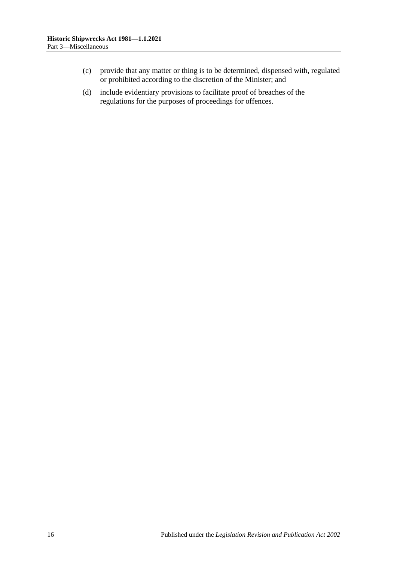- (c) provide that any matter or thing is to be determined, dispensed with, regulated or prohibited according to the discretion of the Minister; and
- (d) include evidentiary provisions to facilitate proof of breaches of the regulations for the purposes of proceedings for offences.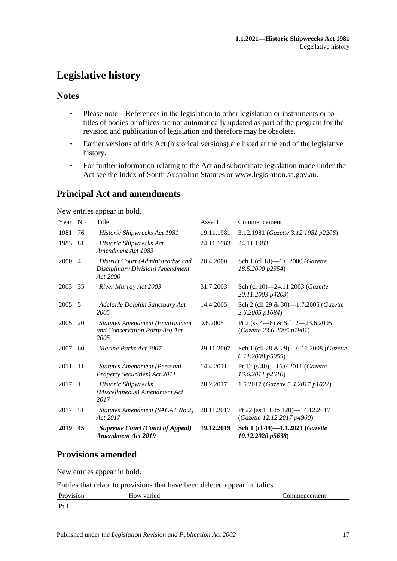# <span id="page-16-0"></span>**Legislative history**

# **Notes**

- Please note—References in the legislation to other legislation or instruments or to titles of bodies or offices are not automatically updated as part of the program for the revision and publication of legislation and therefore may be obsolete.
- Earlier versions of this Act (historical versions) are listed at the end of the legislative history.
- For further information relating to the Act and subordinate legislation made under the Act see the Index of South Australian Statutes or www.legislation.sa.gov.au.

# **Principal Act and amendments**

New entries appear in bold.

| Year | N <sub>0</sub> | Title                                                                              | Assent     | Commencement                                                      |
|------|----------------|------------------------------------------------------------------------------------|------------|-------------------------------------------------------------------|
| 1981 | 76             | Historic Shipwrecks Act 1981                                                       | 19.11.1981 | 3.12.1981 (Gazette 3.12.1981 p2206)                               |
| 1983 | 81             | Historic Shipwrecks Act<br>Amendment Act 1983                                      | 24.11.1983 | 24.11.1983                                                        |
| 2000 | $\overline{4}$ | District Court (Administrative and<br>Disciplinary Division) Amendment<br>Act 2000 | 20.4.2000  | Sch 1 (cl 18)-1.6.2000 (Gazette<br>18.5.2000 p2554)               |
| 2003 | 35             | River Murray Act 2003                                                              | 31.7.2003  | Sch (cl 10)-24.11.2003 (Gazette<br>20.11.2003 p4203)              |
| 2005 | 5              | Adelaide Dolphin Sanctuary Act<br>2005                                             | 14.4.2005  | Sch 2 (cll 29 & 30)-1.7.2005 (Gazette<br>2.6.2005 p1684)          |
| 2005 | 20             | <b>Statutes Amendment (Environment</b><br>and Conservation Portfolio) Act<br>2005  | 9.6.2005   | Pt 2 (ss $4-8$ ) & Sch $2-23.6.2005$<br>(Gazette 23.6.2005 p1901) |
| 2007 | 60             | <i>Marine Parks Act 2007</i>                                                       | 29.11.2007 | Sch 1 (cll 28 & 29)-6.11.2008 (Gazette<br>6.11.2008 p5055)        |
| 2011 | -11            | <b>Statutes Amendment (Personal</b><br><b>Property Securities</b> ) Act 2011       | 14.4.2011  | Pt 12 (s 40)-16.6.2011 (Gazette<br>16.6.2011 p2610)               |
| 2017 | $\overline{1}$ | <b>Historic Shipwrecks</b><br>(Miscellaneous) Amendment Act<br>2017                | 28.2.2017  | 1.5.2017 (Gazette 5.4.2017 p1022)                                 |
| 2017 | 51             | Statutes Amendment (SACAT No 2)<br>Act 2017                                        | 28.11.2017 | Pt 22 (ss 118 to 120)-14.12.2017<br>(Gazette 12.12.2017 p4960)    |
| 2019 | 45             | <b>Supreme Court (Court of Appeal)</b><br><b>Amendment Act 2019</b>                | 19.12.2019 | Sch 1 (cl 49)-1.1.2021 (Gazette<br>10.12.2020 p5638)              |

# **Provisions amended**

New entries appear in bold.

Entries that relate to provisions that have been deleted appear in italics.

| Provision      | How varied | :ommencement |
|----------------|------------|--------------|
| $\mathbf{D}$ + |            |              |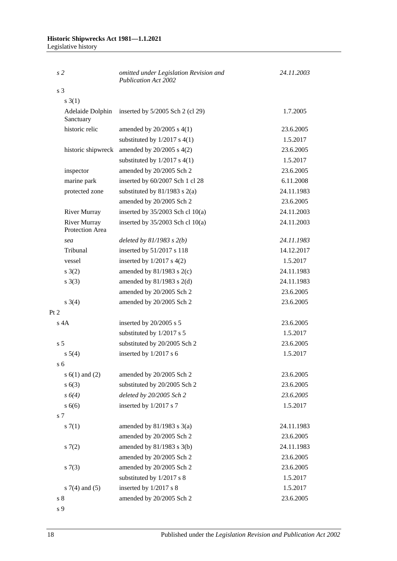#### **Historic Shipwrecks Act 1981—1.1.2021** Legislative history

| s <sub>2</sub>                         | omitted under Legislation Revision and<br><b>Publication Act 2002</b> | 24.11.2003 |
|----------------------------------------|-----------------------------------------------------------------------|------------|
| s 3                                    |                                                                       |            |
| s(3(1))                                |                                                                       |            |
| Adelaide Dolphin<br>Sanctuary          | inserted by $5/2005$ Sch 2 (cl 29)                                    | 1.7.2005   |
| historic relic                         | amended by $20/2005$ s $4(1)$                                         | 23.6.2005  |
|                                        | substituted by $1/2017$ s $4(1)$                                      | 1.5.2017   |
| historic shipwreck                     | amended by $20/2005$ s $4(2)$                                         | 23.6.2005  |
|                                        | substituted by $1/2017$ s $4(1)$                                      | 1.5.2017   |
| inspector                              | amended by 20/2005 Sch 2                                              | 23.6.2005  |
| marine park                            | inserted by 60/2007 Sch 1 cl 28                                       | 6.11.2008  |
| protected zone                         | substituted by $81/1983$ s $2(a)$                                     | 24.11.1983 |
|                                        | amended by 20/2005 Sch 2                                              | 23.6.2005  |
| <b>River Murray</b>                    | inserted by $35/2003$ Sch cl $10(a)$                                  | 24.11.2003 |
| <b>River Murray</b><br>Protection Area | inserted by $35/2003$ Sch cl 10(a)                                    | 24.11.2003 |
| sea                                    | deleted by $81/1983$ s $2(b)$                                         | 24.11.1983 |
| Tribunal                               | inserted by 51/2017 s 118                                             | 14.12.2017 |
| vessel                                 | inserted by $1/2017$ s $4(2)$                                         | 1.5.2017   |
| s(2)                                   | amended by $81/1983$ s $2(c)$                                         | 24.11.1983 |
| $s \; 3(3)$                            | amended by $81/1983$ s $2(d)$                                         | 24.11.1983 |
|                                        | amended by 20/2005 Sch 2                                              | 23.6.2005  |
| $s \; 3(4)$                            | amended by 20/2005 Sch 2                                              | 23.6.2005  |
| Pt 2                                   |                                                                       |            |
| $s$ 4A                                 | inserted by 20/2005 s 5                                               | 23.6.2005  |
|                                        | substituted by 1/2017 s 5                                             | 1.5.2017   |
| s <sub>5</sub>                         | substituted by 20/2005 Sch 2                                          | 23.6.2005  |
| $s\ 5(4)$                              | inserted by 1/2017 s 6                                                | 1.5.2017   |
| s <sub>6</sub>                         |                                                                       |            |
| s $6(1)$ and $(2)$                     | amended by 20/2005 Sch 2                                              | 23.6.2005  |
| s(6(3))                                | substituted by 20/2005 Sch 2                                          | 23.6.2005  |
| $s\ 6(4)$                              | deleted by 20/2005 Sch 2                                              | 23.6.2005  |
| s 6(6)                                 | inserted by 1/2017 s 7                                                | 1.5.2017   |
| s 7                                    |                                                                       |            |
| s(7(1))                                | amended by $81/1983$ s $3(a)$                                         | 24.11.1983 |
|                                        | amended by 20/2005 Sch 2                                              | 23.6.2005  |
| s(7(2)                                 | amended by $81/1983$ s $3(b)$                                         | 24.11.1983 |
|                                        | amended by 20/2005 Sch 2                                              | 23.6.2005  |
| s(7(3))                                | amended by 20/2005 Sch 2                                              | 23.6.2005  |
|                                        | substituted by 1/2017 s 8                                             | 1.5.2017   |
| s $7(4)$ and $(5)$                     | inserted by 1/2017 s 8                                                | 1.5.2017   |
| s <sub>8</sub>                         | amended by 20/2005 Sch 2                                              | 23.6.2005  |
| s 9                                    |                                                                       |            |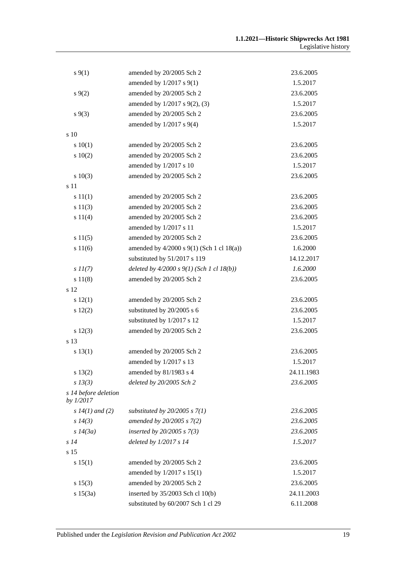| $s \, 9(1)$                       | amended by 20/2005 Sch 2                      | 23.6.2005  |
|-----------------------------------|-----------------------------------------------|------------|
|                                   | amended by $1/2017$ s $9(1)$                  | 1.5.2017   |
| $s \, 9(2)$                       | amended by 20/2005 Sch 2                      | 23.6.2005  |
|                                   | amended by 1/2017 s 9(2), (3)                 | 1.5.2017   |
| $s \, 9(3)$                       | amended by 20/2005 Sch 2                      | 23.6.2005  |
|                                   | amended by $1/2017$ s $9(4)$                  | 1.5.2017   |
| s 10                              |                                               |            |
| 10(1)                             | amended by 20/2005 Sch 2                      | 23.6.2005  |
| 10(2)                             | amended by 20/2005 Sch 2                      | 23.6.2005  |
|                                   | amended by 1/2017 s 10                        | 1.5.2017   |
| 10(3)                             | amended by 20/2005 Sch 2                      | 23.6.2005  |
| s 11                              |                                               |            |
| s 11(1)                           | amended by 20/2005 Sch 2                      | 23.6.2005  |
| s 11(3)                           | amended by 20/2005 Sch 2                      | 23.6.2005  |
| s 11(4)                           | amended by 20/2005 Sch 2                      | 23.6.2005  |
|                                   | amended by 1/2017 s 11                        | 1.5.2017   |
| s 11(5)                           | amended by 20/2005 Sch 2                      | 23.6.2005  |
| s 11(6)                           | amended by $4/2000$ s $9(1)$ (Sch 1 cl 18(a)) | 1.6.2000   |
|                                   | substituted by 51/2017 s 119                  | 14.12.2017 |
| $s\,II(7)$                        | deleted by $4/2000 s 9(1)$ (Sch 1 cl 18(b))   | 1.6.2000   |
| s 11(8)                           | amended by 20/2005 Sch 2                      | 23.6.2005  |
| s 12                              |                                               |            |
| s 12(1)                           | amended by 20/2005 Sch 2                      | 23.6.2005  |
| 12(2)                             | substituted by 20/2005 s 6                    | 23.6.2005  |
|                                   | substituted by 1/2017 s 12                    | 1.5.2017   |
| s 12(3)                           | amended by 20/2005 Sch 2                      | 23.6.2005  |
| s 13                              |                                               |            |
| s 13(1)                           | amended by 20/2005 Sch 2                      | 23.6.2005  |
|                                   | amended by 1/2017 s 13                        | 1.5.2017   |
| s 13(2)                           | amended by $81/1983$ s 4                      | 24.11.1983 |
| $s$ 13(3)                         | deleted by 20/2005 Sch 2                      | 23.6.2005  |
| s 14 before deletion<br>by 1/2017 |                                               |            |
| s $14(1)$ and (2)                 | substituted by $20/2005$ s $7(1)$             | 23.6.2005  |
| $s\,14(3)$                        | amended by 20/2005 s 7(2)                     | 23.6.2005  |
| s 14(3a)                          | inserted by $20/2005 s 7(3)$                  | 23.6.2005  |
| s14                               | deleted by $1/2017 s 14$                      | 1.5.2017   |
| s 15                              |                                               |            |
| s 15(1)                           | amended by 20/2005 Sch 2                      | 23.6.2005  |
|                                   | amended by 1/2017 s 15(1)                     | 1.5.2017   |
| s 15(3)                           | amended by 20/2005 Sch 2                      | 23.6.2005  |
| s 15(3a)                          | inserted by 35/2003 Sch cl 10(b)              | 24.11.2003 |
|                                   | substituted by 60/2007 Sch 1 cl 29            | 6.11.2008  |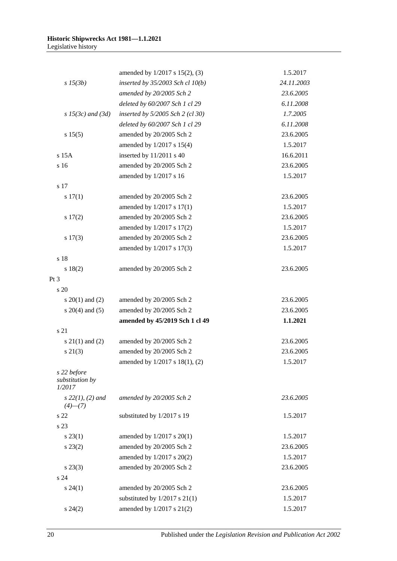|                                          | amended by 1/2017 s 15(2), (3)       | 1.5.2017   |
|------------------------------------------|--------------------------------------|------------|
| $s\,15(3b)$                              | inserted by $35/2003$ Sch cl $10(b)$ | 24.11.2003 |
|                                          | amended by 20/2005 Sch 2             | 23.6.2005  |
|                                          | deleted by 60/2007 Sch 1 cl 29       | 6.11.2008  |
| $s$ 15(3c) and (3d)                      | inserted by $5/2005$ Sch 2 (cl 30)   | 1.7.2005   |
|                                          | deleted by 60/2007 Sch 1 cl 29       | 6.11.2008  |
| s 15(5)                                  | amended by 20/2005 Sch 2             | 23.6.2005  |
|                                          | amended by 1/2017 s 15(4)            | 1.5.2017   |
| s 15A                                    | inserted by 11/2011 s 40             | 16.6.2011  |
| s 16                                     | amended by 20/2005 Sch 2             | 23.6.2005  |
|                                          | amended by 1/2017 s 16               | 1.5.2017   |
| s 17                                     |                                      |            |
| 17(1)                                    | amended by 20/2005 Sch 2             | 23.6.2005  |
|                                          | amended by 1/2017 s 17(1)            | 1.5.2017   |
| $s\ 17(2)$                               | amended by 20/2005 Sch 2             | 23.6.2005  |
|                                          | amended by 1/2017 s 17(2)            | 1.5.2017   |
| s 17(3)                                  | amended by 20/2005 Sch 2             | 23.6.2005  |
|                                          | amended by 1/2017 s 17(3)            | 1.5.2017   |
| s 18                                     |                                      |            |
| s 18(2)                                  | amended by 20/2005 Sch 2             | 23.6.2005  |
| Pt <sub>3</sub>                          |                                      |            |
| s 20                                     |                                      |            |
| s $20(1)$ and $(2)$                      | amended by 20/2005 Sch 2             | 23.6.2005  |
| s $20(4)$ and $(5)$                      | amended by 20/2005 Sch 2             | 23.6.2005  |
|                                          | amended by 45/2019 Sch 1 cl 49       | 1.1.2021   |
| s 21                                     |                                      |            |
| s $21(1)$ and $(2)$                      | amended by 20/2005 Sch 2             | 23.6.2005  |
| $s\ 21(3)$                               | amended by 20/2005 Sch 2             | 23.6.2005  |
|                                          | amended by 1/2017 s 18(1), (2)       | 1.5.2017   |
| s 22 before<br>substitution by<br>1/2017 |                                      |            |
| $s\ 22(1), (2)$ and<br>$(4)$ — $(7)$     | amended by 20/2005 Sch 2             | 23.6.2005  |
| s <sub>22</sub>                          | substituted by 1/2017 s 19           | 1.5.2017   |
| s 23                                     |                                      |            |
| $s\,23(1)$                               | amended by $1/2017$ s $20(1)$        | 1.5.2017   |
| $s\,23(2)$                               | amended by 20/2005 Sch 2             | 23.6.2005  |
|                                          | amended by 1/2017 s 20(2)            | 1.5.2017   |
| $s\,23(3)$                               | amended by 20/2005 Sch 2             | 23.6.2005  |
| s 24                                     |                                      |            |
| $s\,24(1)$                               | amended by 20/2005 Sch 2             | 23.6.2005  |
|                                          | substituted by $1/2017$ s $21(1)$    | 1.5.2017   |
| $s\,24(2)$                               | amended by 1/2017 s 21(2)            | 1.5.2017   |